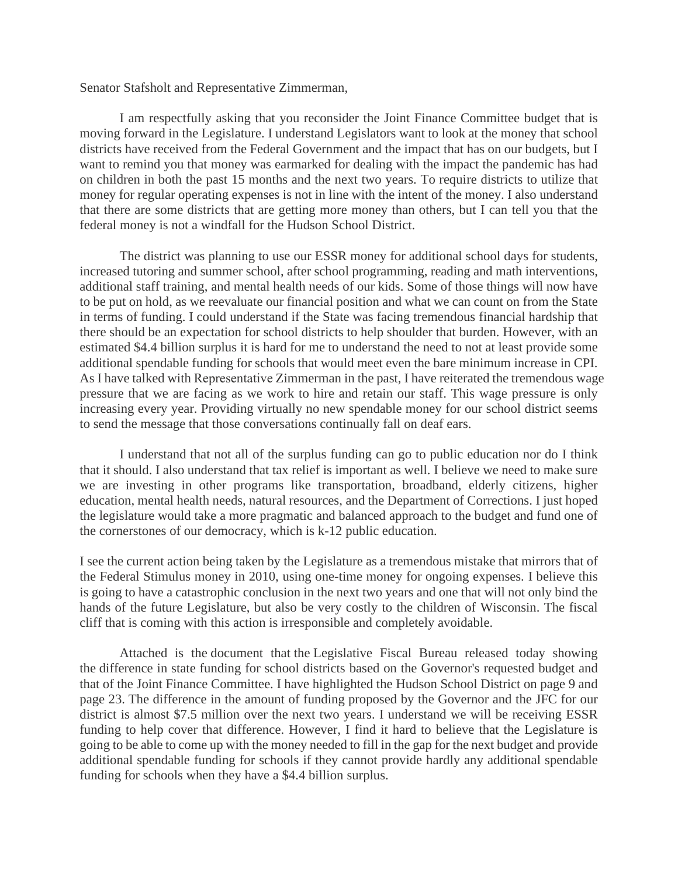Senator Stafsholt and Representative Zimmerman,

I am respectfully asking that you reconsider the Joint Finance Committee budget that is moving forward in the Legislature. I understand Legislators want to look at the money that school districts have received from the Federal Government and the impact that has on our budgets, but I want to remind you that money was earmarked for dealing with the impact the pandemic has had on children in both the past 15 months and the next two years. To require districts to utilize that money for regular operating expenses is not in line with the intent of the money. I also understand that there are some districts that are getting more money than others, but I can tell you that the federal money is not a windfall for the Hudson School District.

The district was planning to use our ESSR money for additional school days for students, increased tutoring and summer school, after school programming, reading and math interventions, additional staff training, and mental health needs of our kids. Some of those things will now have to be put on hold, as we reevaluate our financial position and what we can count on from the State in terms of funding. I could understand if the State was facing tremendous financial hardship that there should be an expectation for school districts to help shoulder that burden. However, with an estimated \$4.4 billion surplus it is hard for me to understand the need to not at least provide some additional spendable funding for schools that would meet even the bare minimum increase in CPI. As I have talked with Representative Zimmerman in the past, I have reiterated the tremendous wage pressure that we are facing as we work to hire and retain our staff. This wage pressure is only increasing every year. Providing virtually no new spendable money for our school district seems to send the message that those conversations continually fall on deaf ears.

I understand that not all of the surplus funding can go to public education nor do I think that it should. I also understand that tax relief is important as well. I believe we need to make sure we are investing in other programs like transportation, broadband, elderly citizens, higher education, mental health needs, natural resources, and the Department of Corrections. I just hoped the legislature would take a more pragmatic and balanced approach to the budget and fund one of the cornerstones of our democracy, which is k-12 public education.

I see the current action being taken by the Legislature as a tremendous mistake that mirrors that of the Federal Stimulus money in 2010, using one-time money for ongoing expenses. I believe this is going to have a catastrophic conclusion in the next two years and one that will not only bind the hands of the future Legislature, but also be very costly to the children of Wisconsin. The fiscal cliff that is coming with this action is irresponsible and completely avoidable.

Attached is the document that the Legislative Fiscal Bureau released today showing the difference in state funding for school districts based on the Governor's requested budget and that of the Joint Finance Committee. I have highlighted the Hudson School District on page 9 and page 23. The difference in the amount of funding proposed by the Governor and the JFC for our district is almost \$7.5 million over the next two years. I understand we will be receiving ESSR funding to help cover that difference. However, I find it hard to believe that the Legislature is going to be able to come up with the money needed to fill in the gap for the next budget and provide additional spendable funding for schools if they cannot provide hardly any additional spendable funding for schools when they have a \$4.4 billion surplus.